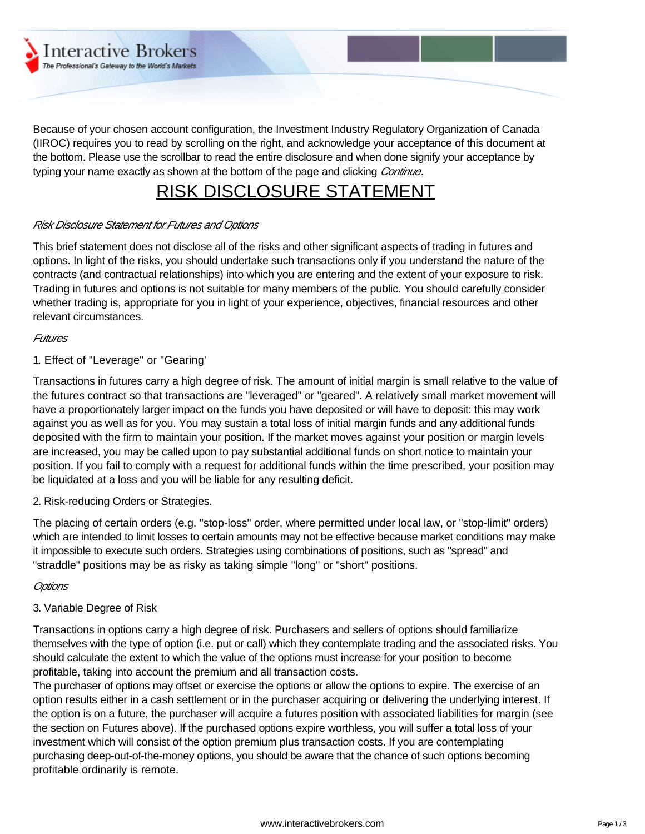

Because of your chosen account configuration, the Investment Industry Regulatory Organization of Canada (IIROC) requires you to read by scrolling on the right, and acknowledge your acceptance of this document at the bottom. Please use the scrollbar to read the entire disclosure and when done signify your acceptance by typing your name exactly as shown at the bottom of the page and clicking Continue.

# RISK DISCLOSURE STATEMENT

# Risk Disclosure Statement for Futures and Options

This brief statement does not disclose all of the risks and other significant aspects of trading in futures and options. In light of the risks, you should undertake such transactions only if you understand the nature of the contracts (and contractual relationships) into which you are entering and the extent of your exposure to risk. Trading in futures and options is not suitable for many members of the public. You should carefully consider whether trading is, appropriate for you in light of your experience, objectives, financial resources and other relevant circumstances.

# Futures

# 1. Effect of "Leverage" or "Gearing'

Transactions in futures carry a high degree of risk. The amount of initial margin is small relative to the value of the futures contract so that transactions are "leveraged" or "geared". A relatively small market movement will have a proportionately larger impact on the funds you have deposited or will have to deposit: this may work against you as well as for you. You may sustain a total loss of initial margin funds and any additional funds deposited with the firm to maintain your position. If the market moves against your position or margin levels are increased, you may be called upon to pay substantial additional funds on short notice to maintain your position. If you fail to comply with a request for additional funds within the time prescribed, your position may be liquidated at a loss and you will be liable for any resulting deficit.

## 2. Risk-reducing Orders or Strategies.

The placing of certain orders (e.g. "stop-loss" order, where permitted under local law, or "stop-limit" orders) which are intended to limit losses to certain amounts may not be effective because market conditions may make it impossible to execute such orders. Strategies using combinations of positions, such as "spread" and "straddle" positions may be as risky as taking simple "long" or "short" positions.

## **Options**

# 3. Variable Degree of Risk

Transactions in options carry a high degree of risk. Purchasers and sellers of options should familiarize themselves with the type of option (i.e. put or call) which they contemplate trading and the associated risks. You should calculate the extent to which the value of the options must increase for your position to become profitable, taking into account the premium and all transaction costs.

The purchaser of options may offset or exercise the options or allow the options to expire. The exercise of an option results either in a cash settlement or in the purchaser acquiring or delivering the underlying interest. If the option is on a future, the purchaser will acquire a futures position with associated liabilities for margin (see the section on Futures above). If the purchased options expire worthless, you will suffer a total loss of your investment which will consist of the option premium plus transaction costs. If you are contemplating purchasing deep-out-of-the-money options, you should be aware that the chance of such options becoming profitable ordinarily is remote.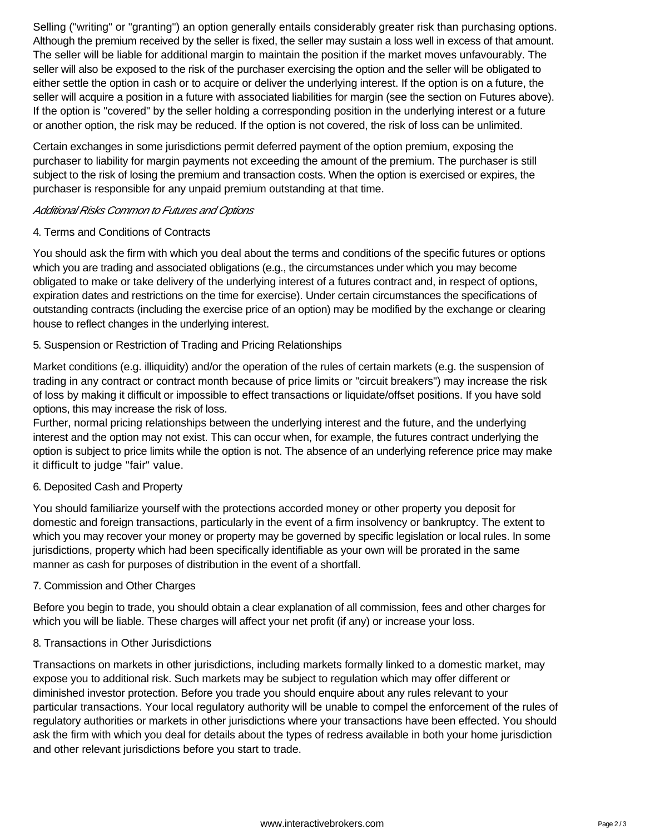Selling ("writing" or "granting") an option generally entails considerably greater risk than purchasing options. Although the premium received by the seller is fixed, the seller may sustain a loss well in excess of that amount. The seller will be liable for additional margin to maintain the position if the market moves unfavourably. The seller will also be exposed to the risk of the purchaser exercising the option and the seller will be obligated to either settle the option in cash or to acquire or deliver the underlying interest. If the option is on a future, the seller will acquire a position in a future with associated liabilities for margin (see the section on Futures above). If the option is "covered" by the seller holding a corresponding position in the underlying interest or a future or another option, the risk may be reduced. If the option is not covered, the risk of loss can be unlimited.

Certain exchanges in some jurisdictions permit deferred payment of the option premium, exposing the purchaser to liability for margin payments not exceeding the amount of the premium. The purchaser is still subject to the risk of losing the premium and transaction costs. When the option is exercised or expires, the purchaser is responsible for any unpaid premium outstanding at that time.

# Additional Risks Common to Futures and Options

# 4. Terms and Conditions of Contracts

You should ask the firm with which you deal about the terms and conditions of the specific futures or options which you are trading and associated obligations (e.g., the circumstances under which you may become obligated to make or take delivery of the underlying interest of a futures contract and, in respect of options, expiration dates and restrictions on the time for exercise). Under certain circumstances the specifications of outstanding contracts (including the exercise price of an option) may be modified by the exchange or clearing house to reflect changes in the underlying interest.

# 5. Suspension or Restriction of Trading and Pricing Relationships

Market conditions (e.g. illiquidity) and/or the operation of the rules of certain markets (e.g. the suspension of trading in any contract or contract month because of price limits or "circuit breakers") may increase the risk of loss by making it difficult or impossible to effect transactions or liquidate/offset positions. If you have sold options, this may increase the risk of loss.

Further, normal pricing relationships between the underlying interest and the future, and the underlying interest and the option may not exist. This can occur when, for example, the futures contract underlying the option is subject to price limits while the option is not. The absence of an underlying reference price may make it difficult to judge "fair" value.

# 6. Deposited Cash and Property

You should familiarize yourself with the protections accorded money or other property you deposit for domestic and foreign transactions, particularly in the event of a firm insolvency or bankruptcy. The extent to which you may recover your money or property may be governed by specific legislation or local rules. In some jurisdictions, property which had been specifically identifiable as your own will be prorated in the same manner as cash for purposes of distribution in the event of a shortfall.

## 7. Commission and Other Charges

Before you begin to trade, you should obtain a clear explanation of all commission, fees and other charges for which you will be liable. These charges will affect your net profit (if any) or increase your loss.

## 8. Transactions in Other Jurisdictions

Transactions on markets in other jurisdictions, including markets formally linked to a domestic market, may expose you to additional risk. Such markets may be subject to regulation which may offer different or diminished investor protection. Before you trade you should enquire about any rules relevant to your particular transactions. Your local regulatory authority will be unable to compel the enforcement of the rules of regulatory authorities or markets in other jurisdictions where your transactions have been effected. You should ask the firm with which you deal for details about the types of redress available in both your home jurisdiction and other relevant jurisdictions before you start to trade.